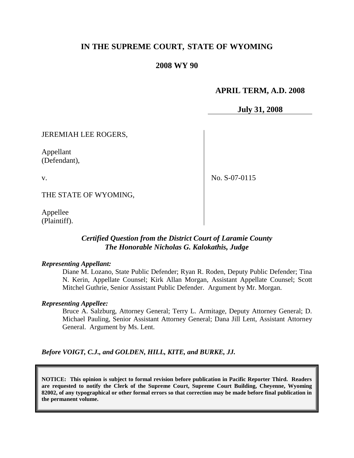# **IN THE SUPREME COURT, STATE OF WYOMING**

### **2008 WY 90**

### **APRIL TERM, A.D. 2008**

**July 31, 2008**

JEREMIAH LEE ROGERS,

Appellant (Defendant),

v.

No. S-07-0115

THE STATE OF WYOMING,

Appellee (Plaintiff).

### *Certified Question from the District Court of Laramie County The Honorable Nicholas G. Kalokathis, Judge*

#### *Representing Appellant:*

Diane M. Lozano, State Public Defender; Ryan R. Roden, Deputy Public Defender; Tina N. Kerin, Appellate Counsel; Kirk Allan Morgan, Assistant Appellate Counsel; Scott Mitchel Guthrie, Senior Assistant Public Defender. Argument by Mr. Morgan.

#### *Representing Appellee:*

Bruce A. Salzburg, Attorney General; Terry L. Armitage, Deputy Attorney General; D. Michael Pauling, Senior Assistant Attorney General; Dana Jill Lent, Assistant Attorney General. Argument by Ms. Lent.

*Before VOIGT, C.J., and GOLDEN, HILL, KITE, and BURKE, JJ.*

**NOTICE: This opinion is subject to formal revision before publication in Pacific Reporter Third. Readers are requested to notify the Clerk of the Supreme Court, Supreme Court Building, Cheyenne, Wyoming 82002, of any typographical or other formal errors so that correction may be made before final publication in the permanent volume.**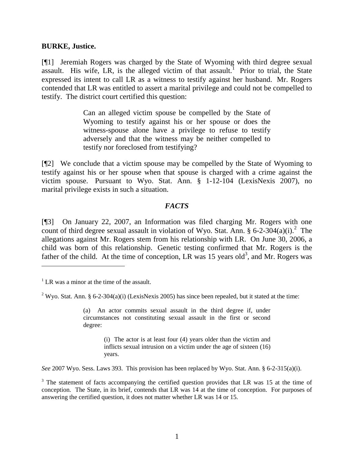### **BURKE, Justice.**

[¶1] Jeremiah Rogers was charged by the State of Wyoming with third degree sexual assault. His wife, LR, is the alleged victim of that assault.<sup>1</sup> Prior to trial, the State expressed its intent to call LR as a witness to testify against her husband. Mr. Rogers contended that LR was entitled to assert a marital privilege and could not be compelled to testify. The district court certified this question:

> Can an alleged victim spouse be compelled by the State of Wyoming to testify against his or her spouse or does the witness-spouse alone have a privilege to refuse to testify adversely and that the witness may be neither compelled to testify nor foreclosed from testifying?

[¶2] We conclude that a victim spouse may be compelled by the State of Wyoming to testify against his or her spouse when that spouse is charged with a crime against the victim spouse. Pursuant to Wyo. Stat. Ann. § 1-12-104 (LexisNexis 2007), no marital privilege exists in such a situation.

### *FACTS*

[¶3] On January 22, 2007, an Information was filed charging Mr. Rogers with one count of third degree sexual assault in violation of Wyo. Stat. Ann. § 6-2-304(a)(i).<sup>2</sup> The allegations against Mr. Rogers stem from his relationship with LR. On June 30, 2006, a child was born of this relationship. Genetic testing confirmed that Mr. Rogers is the father of the child. At the time of conception, LR was 15 years old<sup>3</sup>, and Mr. Rogers was

 $\overline{a}$ 

(a) An actor commits sexual assault in the third degree if, under circumstances not constituting sexual assault in the first or second degree:

> (i) The actor is at least four (4) years older than the victim and inflicts sexual intrusion on a victim under the age of sixteen (16) years.

*See* 2007 Wyo. Sess. Laws 393. This provision has been replaced by Wyo. Stat. Ann. § 6-2-315(a)(i).

 $1$  LR was a minor at the time of the assault.

<sup>&</sup>lt;sup>2</sup> Wyo. Stat. Ann. § 6-2-304(a)(i) (LexisNexis 2005) has since been repealed, but it stated at the time:

 $3$  The statement of facts accompanying the certified question provides that LR was 15 at the time of conception. The State, in its brief, contends that LR was 14 at the time of conception. For purposes of answering the certified question, it does not matter whether LR was 14 or 15.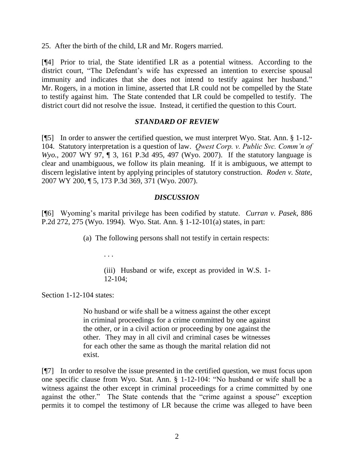25. After the birth of the child, LR and Mr. Rogers married.

[¶4] Prior to trial, the State identified LR as a potential witness. According to the district court, "The Defendant's wife has expressed an intention to exercise spousal immunity and indicates that she does not intend to testify against her husband." Mr. Rogers, in a motion in limine, asserted that LR could not be compelled by the State to testify against him. The State contended that LR could be compelled to testify. The district court did not resolve the issue. Instead, it certified the question to this Court.

## *STANDARD OF REVIEW*

[¶5] In order to answer the certified question, we must interpret Wyo. Stat. Ann. § 1-12- 104. Statutory interpretation is a question of law. *Qwest Corp. v. Public Svc. Comm'n of Wyo.*, 2007 WY 97, ¶ 3, 161 P.3d 495, 497 (Wyo. 2007). If the statutory language is clear and unambiguous, we follow its plain meaning. If it is ambiguous, we attempt to discern legislative intent by applying principles of statutory construction. *Roden v. State*, 2007 WY 200, ¶ 5, 173 P.3d 369, 371 (Wyo. 2007).

## *DISCUSSION*

[¶6] Wyoming's marital privilege has been codified by statute. *Curran v. Pasek*, 886 P.2d 272, 275 (Wyo. 1994). Wyo. Stat. Ann. § 1-12-101(a) states, in part:

(a) The following persons shall not testify in certain respects:

(iii) Husband or wife, except as provided in W.S. 1- 12-104;

Section 1-12-104 states:

. . .

No husband or wife shall be a witness against the other except in criminal proceedings for a crime committed by one against the other, or in a civil action or proceeding by one against the other. They may in all civil and criminal cases be witnesses for each other the same as though the marital relation did not exist.

[¶7] In order to resolve the issue presented in the certified question, we must focus upon one specific clause from Wyo. Stat. Ann. § 1-12-104: "No husband or wife shall be a witness against the other except in criminal proceedings for a crime committed by one against the other." The State contends that the "crime against a spouse" exception permits it to compel the testimony of LR because the crime was alleged to have been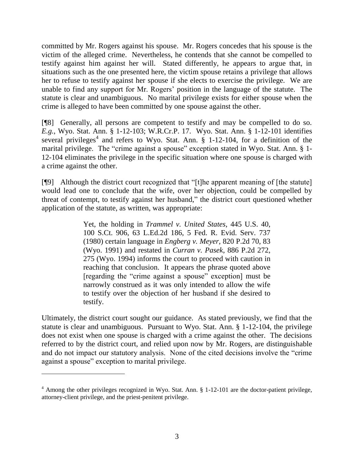committed by Mr. Rogers against his spouse. Mr. Rogers concedes that his spouse is the victim of the alleged crime. Nevertheless, he contends that she cannot be compelled to testify against him against her will. Stated differently, he appears to argue that, in situations such as the one presented here, the victim spouse retains a privilege that allows her to refuse to testify against her spouse if she elects to exercise the privilege. We are unable to find any support for Mr. Rogers' position in the language of the statute. The statute is clear and unambiguous. No marital privilege exists for either spouse when the crime is alleged to have been committed by one spouse against the other.

[¶8] Generally, all persons are competent to testify and may be compelled to do so. *E.g.*, Wyo. Stat. Ann. § 1-12-103; W.R.Cr.P. 17. Wyo. Stat. Ann. § 1-12-101 identifies several privileges<sup>4</sup> and refers to Wyo. Stat. Ann.  $\S$  1-12-104, for a definition of the marital privilege. The "crime against a spouse" exception stated in Wyo. Stat. Ann. § 1- 12-104 eliminates the privilege in the specific situation where one spouse is charged with a crime against the other.

[¶9] Although the district court recognized that "[t]he apparent meaning of [the statute] would lead one to conclude that the wife, over her objection, could be compelled by threat of contempt, to testify against her husband," the district court questioned whether application of the statute, as written, was appropriate:

> Yet, the holding in *Trammel v. United States*, 445 U.S. 40, 100 S.Ct. 906, 63 L.Ed.2d 186, 5 Fed. R. Evid. Serv. 737 (1980) certain language in *Engberg v. Meyer*, 820 P.2d 70, 83 (Wyo. 1991) and restated in *Curran v. Pasek*, 886 P.2d 272, 275 (Wyo. 1994) informs the court to proceed with caution in reaching that conclusion. It appears the phrase quoted above [regarding the "crime against a spouse" exception] must be narrowly construed as it was only intended to allow the wife to testify over the objection of her husband if she desired to testify.

Ultimately, the district court sought our guidance. As stated previously, we find that the statute is clear and unambiguous. Pursuant to Wyo. Stat. Ann. § 1-12-104, the privilege does not exist when one spouse is charged with a crime against the other. The decisions referred to by the district court, and relied upon now by Mr. Rogers, are distinguishable and do not impact our statutory analysis. None of the cited decisions involve the "crime against a spouse" exception to marital privilege.

<sup>&</sup>lt;sup>4</sup> Among the other privileges recognized in Wyo. Stat. Ann. § 1-12-101 are the doctor-patient privilege, attorney-client privilege, and the priest-penitent privilege.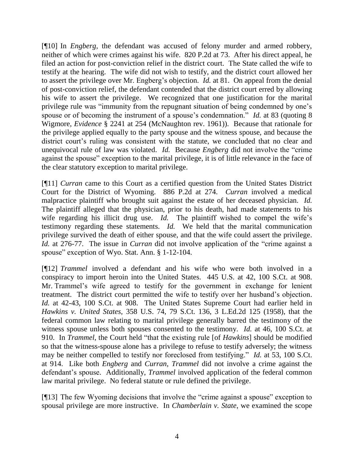[¶10] In *Engberg*, the defendant was accused of felony murder and armed robbery, neither of which were crimes against his wife. 820 P.2d at 73. After his direct appeal, he filed an action for post-conviction relief in the district court. The State called the wife to testify at the hearing. The wife did not wish to testify, and the district court allowed her to assert the privilege over Mr. Engberg's objection. *Id.* at 81. On appeal from the denial of post-conviction relief, the defendant contended that the district court erred by allowing his wife to assert the privilege. We recognized that one justification for the marital privilege rule was "immunity from the repugnant situation of being condemned by one's spouse or of becoming the instrument of a spouse's condemnation." *Id.* at 83 (quoting 8 Wigmore, *Evidence* § 2241 at 254 (McNaughton rev. 1961)). Because that rationale for the privilege applied equally to the party spouse and the witness spouse, and because the district court's ruling was consistent with the statute, we concluded that no clear and unequivocal rule of law was violated. *Id.* Because *Engberg* did not involve the "crime against the spouse" exception to the marital privilege, it is of little relevance in the face of the clear statutory exception to marital privilege.

[¶11] *Curran* came to this Court as a certified question from the United States District Court for the District of Wyoming. 886 P.2d at 274. *Curran* involved a medical malpractice plaintiff who brought suit against the estate of her deceased physician. *Id.* The plaintiff alleged that the physician, prior to his death, had made statements to his wife regarding his illicit drug use. *Id*. The plaintiff wished to compel the wife's testimony regarding these statements. *Id.* We held that the marital communication privilege survived the death of either spouse, and that the wife could assert the privilege. *Id.* at 276-77. The issue in *Curran* did not involve application of the "crime against a spouse" exception of Wyo. Stat. Ann. § 1-12-104.

[¶12] *Trammel* involved a defendant and his wife who were both involved in a conspiracy to import heroin into the United States. 445 U.S. at 42, 100 S.Ct. at 908. Mr. Trammel's wife agreed to testify for the government in exchange for lenient treatment. The district court permitted the wife to testify over her husband's objection. *Id.* at 42-43, 100 S.Ct. at 908. The United States Supreme Court had earlier held in *Hawkins v. United States*, 358 U.S. 74, 79 S.Ct. 136, 3 L.Ed.2d 125 (1958), that the federal common law relating to marital privilege generally barred the testimony of the witness spouse unless both spouses consented to the testimony. *Id.* at 46, 100 S.Ct. at 910. In *Trammel*, the Court held "that the existing rule [of *Hawkins*] should be modified so that the witness-spouse alone has a privilege to refuse to testify adversely; the witness may be neither compelled to testify nor foreclosed from testifying." *Id.* at 53, 100 S.Ct. at 914. Like both *Engberg* and *Curran*, *Trammel* did not involve a crime against the defendant's spouse. Additionally, *Trammel* involved application of the federal common law marital privilege. No federal statute or rule defined the privilege.

[¶13] The few Wyoming decisions that involve the "crime against a spouse" exception to spousal privilege are more instructive. In *Chamberlain v. State*, we examined the scope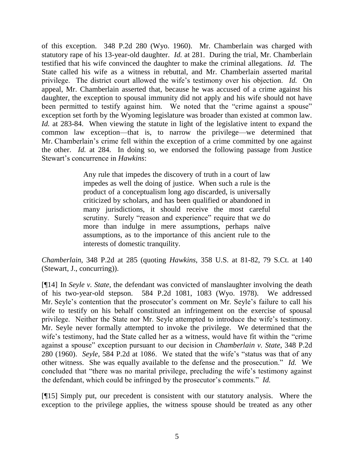of this exception. 348 P.2d 280 (Wyo. 1960). Mr. Chamberlain was charged with statutory rape of his 13-year-old daughter. *Id.* at 281. During the trial, Mr. Chamberlain testified that his wife convinced the daughter to make the criminal allegations. *Id.* The State called his wife as a witness in rebuttal, and Mr. Chamberlain asserted marital privilege. The district court allowed the wife's testimony over his objection. *Id.* On appeal, Mr. Chamberlain asserted that, because he was accused of a crime against his daughter, the exception to spousal immunity did not apply and his wife should not have been permitted to testify against him. We noted that the "crime against a spouse" exception set forth by the Wyoming legislature was broader than existed at common law. *Id.* at 283-84. When viewing the statute in light of the legislative intent to expand the common law exception—that is, to narrow the privilege—we determined that Mr. Chamberlain's crime fell within the exception of a crime committed by one against the other. *Id.* at 284. In doing so, we endorsed the following passage from Justice Stewart's concurrence in *Hawkins*:

> Any rule that impedes the discovery of truth in a court of law impedes as well the doing of justice. When such a rule is the product of a conceptualism long ago discarded, is universally criticized by scholars, and has been qualified or abandoned in many jurisdictions, it should receive the most careful scrutiny. Surely "reason and experience" require that we do more than indulge in mere assumptions, perhaps naïve assumptions, as to the importance of this ancient rule to the interests of domestic tranquility.

*Chamberlain*, 348 P.2d at 285 (quoting *Hawkins*, 358 U.S. at 81-82, 79 S.Ct. at 140 (Stewart, J., concurring)).

[¶14] In *Seyle v. State*, the defendant was convicted of manslaughter involving the death of his two-year-old stepson. 584 P.2d 1081, 1083 (Wyo. 1978). We addressed Mr. Seyle's contention that the prosecutor's comment on Mr. Seyle's failure to call his wife to testify on his behalf constituted an infringement on the exercise of spousal privilege. Neither the State nor Mr. Seyle attempted to introduce the wife's testimony. Mr. Seyle never formally attempted to invoke the privilege. We determined that the wife's testimony, had the State called her as a witness, would have fit within the "crime against a spouse" exception pursuant to our decision in *Chamberlain v. State*, 348 P.2d 280 (1960). *Seyle*, 584 P.2d at 1086. We stated that the wife's "status was that of any other witness. She was equally available to the defense and the prosecution." *Id.* We concluded that "there was no marital privilege, precluding the wife's testimony against the defendant, which could be infringed by the prosecutor's comments." *Id.*

[¶15] Simply put, our precedent is consistent with our statutory analysis. Where the exception to the privilege applies, the witness spouse should be treated as any other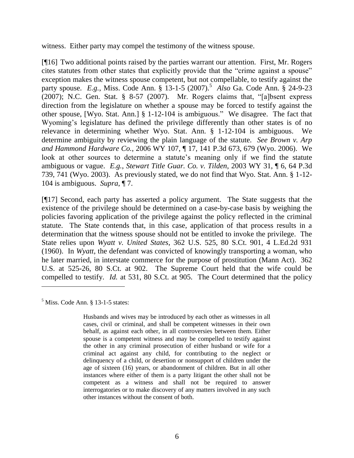witness. Either party may compel the testimony of the witness spouse.

[¶16] Two additional points raised by the parties warrant our attention. First, Mr. Rogers cites statutes from other states that explicitly provide that the "crime against a spouse" exception makes the witness spouse competent, but not compellable, to testify against the party spouse. *E.g.*, Miss. Code Ann. § 13-1-5 (2007). 5 *Also* Ga. Code Ann. § 24-9-23  $(2007)$ ; N.C. Gen. Stat. § 8-57 (2007). Mr. Rogers claims that, "[a]bsent express direction from the legislature on whether a spouse may be forced to testify against the other spouse, [Wyo. Stat. Ann.] § 1-12-104 is ambiguous." We disagree. The fact that Wyoming's legislature has defined the privilege differently than other states is of no relevance in determining whether Wyo. Stat. Ann. § 1-12-104 is ambiguous. We determine ambiguity by reviewing the plain language of the statute. *See Brown v. Arp and Hammond Hardware Co.*, 2006 WY 107, ¶ 17, 141 P.3d 673, 679 (Wyo. 2006). We look at other sources to determine a statute's meaning only if we find the statute ambiguous or vague. *E.g.*, *Stewart Title Guar. Co. v. Tilden*, 2003 WY 31, ¶ 6, 64 P.3d 739, 741 (Wyo. 2003). As previously stated, we do not find that Wyo. Stat. Ann. § 1-12- 104 is ambiguous. *Supra*, ¶ 7.

[¶17] Second, each party has asserted a policy argument. The State suggests that the existence of the privilege should be determined on a case-by-case basis by weighing the policies favoring application of the privilege against the policy reflected in the criminal statute. The State contends that, in this case, application of that process results in a determination that the witness spouse should not be entitled to invoke the privilege. The State relies upon *Wyatt v. United States*, 362 U.S. 525, 80 S.Ct. 901, 4 L.Ed.2d 931 (1960). In *Wyatt*, the defendant was convicted of knowingly transporting a woman, who he later married, in interstate commerce for the purpose of prostitution (Mann Act). 362 U.S. at 525-26, 80 S.Ct. at 902. The Supreme Court held that the wife could be compelled to testify. *Id.* at 531, 80 S.Ct. at 905. The Court determined that the policy

 $<sup>5</sup>$  Miss. Code Ann. § 13-1-5 states:</sup>

Husbands and wives may be introduced by each other as witnesses in all cases, civil or criminal, and shall be competent witnesses in their own behalf, as against each other, in all controversies between them. Either spouse is a competent witness and may be compelled to testify against the other in any criminal prosecution of either husband or wife for a criminal act against any child, for contributing to the neglect or delinquency of a child, or desertion or nonsupport of children under the age of sixteen (16) years, or abandonment of children. But in all other instances where either of them is a party litigant the other shall not be competent as a witness and shall not be required to answer interrogatories or to make discovery of any matters involved in any such other instances without the consent of both.